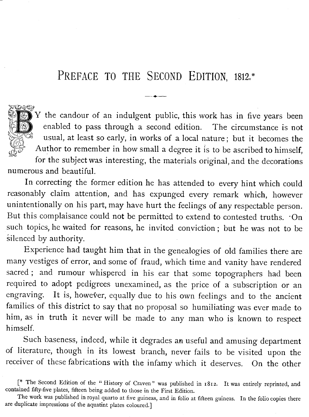## PREFACE TO THE SECOND EDITION, 1812.\*

へんかくじゅ

Y the candour of an indulgent public, this work has in five years been enabled to pass through a second edition. The circumstance is not usual, at least so early, in works of a local nature ; but it becomes the Author to remember in how small a degree it is to be ascribed to himself,

for the subject was interesting, the materials original, and the decorations numerous and beautiful.

In correcting the former edition he has attended to every hint which could reasonably claim attention, and has expunged every remark which, however unintentionally on his part, may have hurt the feelings of any respectable person. But this complaisance could not be permitted to extend to contested truths. . On such topics, he waited for reasons, he invited conviction ; but he was not to be silenced by authority.

Experience had taught him that in the genealogies of old families there are many vestiges of error, and some of fraud, which time and vanity have rendered sacred ; and rumour whispered in his ear that some topographers had been required to adopt pedigrees unexamined, as the price of a subscription or an engraving. It is, however, equally due to his own feelings and to the ancient families of this district to say that no proposal so humiliating was ever made to him, as in truth it never will be made to any man who is known to respect himself.

Such baseness, indeed, while it degrades an useful and amusing department of literature, though in its lowest branch, never fails to be visited upon the receiver of these fabrications with the infamy which it deserves. On the other

<sup>&</sup>lt;sup>\*</sup> The Second Edition of the " History of Craven" was published in 1812. It was entirely reprinted, and contained fifty-five plates, fifteen being added to those in the First Edition .

The work was published in royal quarto at five guineas, and in folio at fifteen guineas. In the folio copies there are duplicate impressions of the aquatint plates coloured.]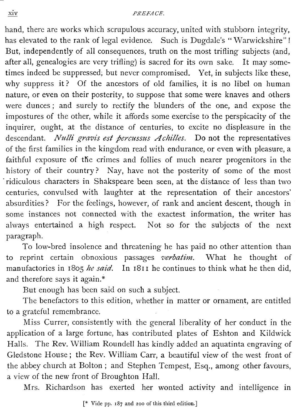## PREFACE.

hand, there are works which scrupulous accuracy, united with stubborn integrity, has elevated to the rank of legal evidence. Such is Dugdale's "Warwickshire"! But, independently of all consequences, truth on the most trifling subjects (and, after all, genealogies are very trifling) is sacred for its own sake. It may sometimes indeed be suppressed, but never compromised. Yet, in subjects like these, why suppress it? Of the ancestors of old families, it is no libel on human nature, or even on their posterity, to suppose that some were knaves and others were dunces ; and surely to rectify the blunders of the one, and expose the impostures of the other, while it affords some exercise to the perspicacity of the inquirer, ought, at the distance of centuries, to excite no displeasure in the descendant. *Nulli gravis est percussus Achilles*. Do not the representatives of the first families in the kingdom read with endurance, or even with pleasure, a faithful exposure of the crimes and follies of much nearer progenitors in the history of their country? Nay, have not the posterity of some of the most ridiculous characters in Shakspeare been seen, at the distance of less than two centuries, convulsed with laughter at the representation of their ancestors' absurdities? For the feelings, however, of rank and ancient descent, though in some instances not connected with the exactest information, the writer has always entertained a high respect. Not so for the subjects of the next paragraph.

To low-bred insolence and threatening he has paid no other attention than to reprint certain obnoxious passages verbatim. What he thought of manufactories in 1805 he said. In 1811 he continues to think what he then did, and therefore says it again .\*

But enough has been said on such a subject.

The benefactors to this edition, whether in matter or ornament, are entitled to a grateful remembrance.

Miss Currer, consistently with the general liberality of her conduct in the application of a large fortune, has contributed plates of Eshton and Kildwick Halls. The Rev. William Roundell has kindly added an aquatinta engraving of Gledstone House; the Rev. William Carr, a beautiful view of the west front of the abbey church at Bolton; and Stephen Tempest, Esq., among other favours, a view of the new front of Broughton Hall.

Mrs. Richardson has exerted her wonted activity and intelligence in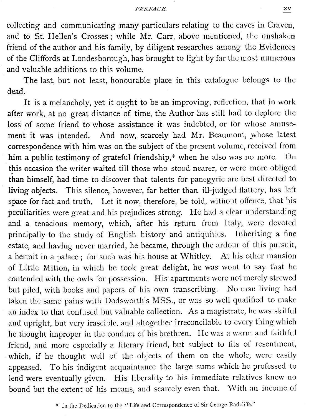collecting and com<br>and to St. Hellen' collecting and communicating many particulars relating to the caves in Craven, and to St. Hellen's Crosses; while Mr. Carr, above mentioned, the unshaken friend of the author and his family, by diligent researches among the Evidences of the Cliffords at Londesborough, has brought to light by far the most numerous and valuable additions to this volume.

The last, but not least, honourable place in this catalogue belongs to the dead.

It is a melancholy, yet it ought to be an improving, reflection, that in work after work, at no great distance of time, the Author has still had to deplore the loss of some friend to whose assistance it was indebted, or for whose amusement it was intended. And now, scarcely had Mr. Beaumont, whose latest correspondence with him was on the subject of the present volume, received from him a public testimony of grateful friendship,\* when he also was no more. On this occasion the writer waited till those who stood nearer, or were more obliged than himself, had time to discover that talents for panegyric are best directed to living objects. This silence, however, far better than ill-judged flattery, has left space for fact and truth. Let it now, therefore, be told, without offence, that his peculiarities were great and his prejudices strong. He had a clear understanding and a tenacious memory, which, after his return from Italy, were devoted principally to the study of English history and antiquities. Inheriting a fine estate, and having never married, he became, through the ardour of this pursuit, a hermit in a palace; for such was his house at Whitley. At his other mansion of Little Mitton, in which he took great delight, he was wont to say that he contended with the owls for possession. His apartments were not merely strewed but piled, with books and papers of his own transcribing. No man living had taken the same pains with Dodsworth's MSS ., or was so well qualified to make an index to that confused but valuable collection. As a magistrate, he was skilful and upright, but very irascible, and altogether irreconcilable to every thing which he thought improper in the conduct of his brethren. He was a warm and faithful friend, and more especially a literary friend, but subject to fits of resentment, which, if he thought well of the objects of them on the whole, were easily appeased. To his indigent acquaintance the large sums which he professed to lend were eventually given. His liberality to his immediate relatives knew no bound but the extent of his means, and scarcely even that. With an income of

<sup>\*</sup> In the Dedication to the "Life and Correspondence of Sir George Radcliffe ."